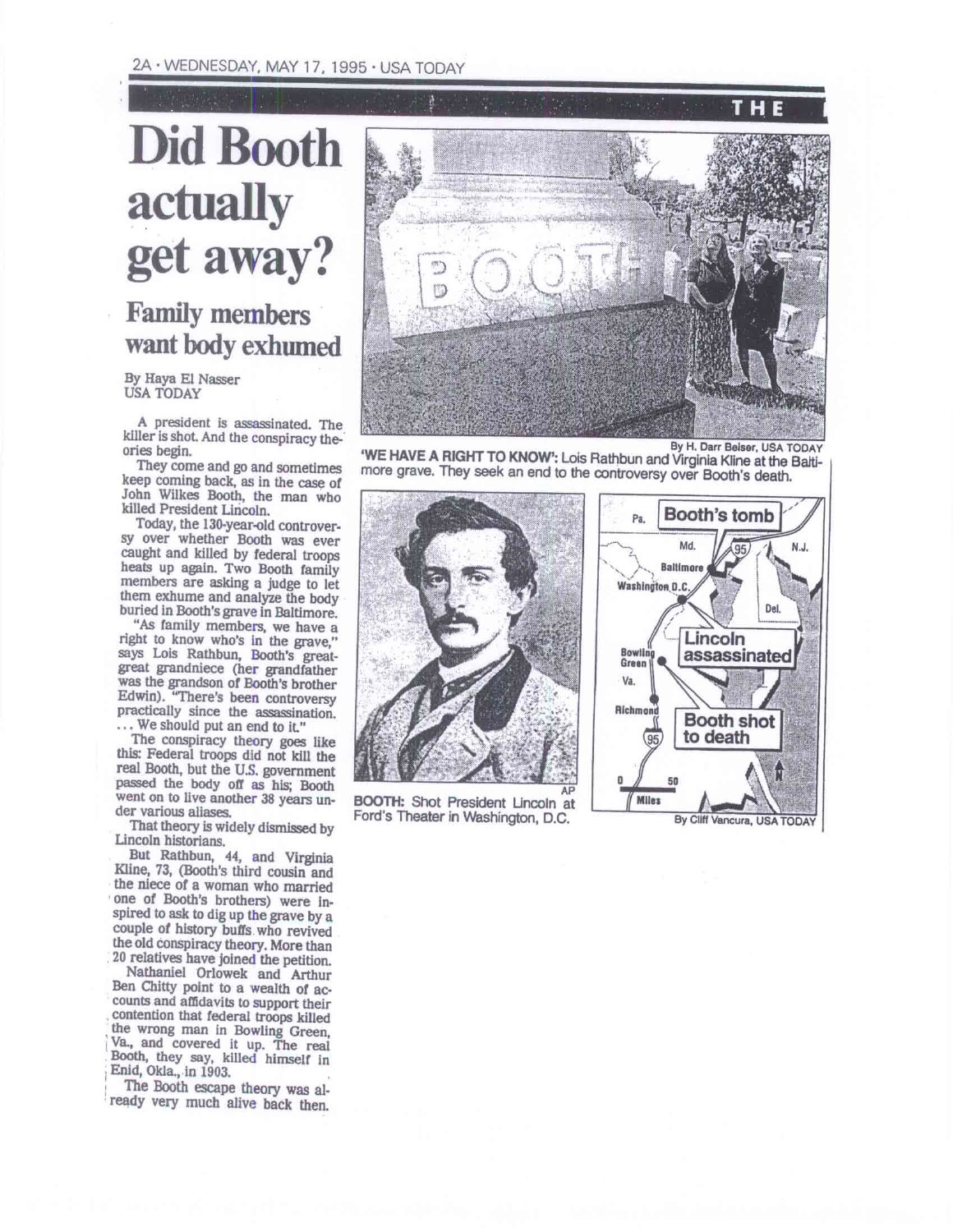## 2A • WEDNESDAY, MAY 17, 1995 • USA TODAY

## **Did Booth actually get away?**

**Family members want body exhumed** 

By Haya El Nasser USA TODAY

A president is assassinated. The killer is shot. And the conspiracy theories begin.

They come and go and sometimes keep coming back, as in the case of John Wilkes Booth, the man who killed President Lincoln.

Today, the 130-year-old controversy over whether Booth was ever caught and killed by federal troops heats up again. Two Booth family members are asking a judge to let them exhume and analyze the body buried in Booth's grave in Baltimore.

"As family members, we have a right to know who's in the grave,' says Lois Rathbun, Booth's greatgreat grandniece (her grandfather was the grandson of Booth's brother Edwin). "There's been controversy practically since the assassination. ... We should put an end to it."

The conspiracy theory goes like this: Federal troops did not kill the real Booth, but the U.S. government passed the body off as his; Booth went on to live another 38 years under various aliases.

That theory is widely dismissed by Lincoln historians.

But Rathbun, 44, and Virginia Kline, 73, (Booth's third cousin and the niece of a woman who married one of Booth's brothers) were Inspired to ask to dig up the grave by a couple of history buffs who revived the old conspiracy theory. More than 20 relatives have joined the petition.

Nathaniel Orlowek and Arthur Ben Chitty point to a wealth of accounts and affidavits to support their contention that federal troops killed the wrong man in Bowling Green, Va., and covered it up. The real Booth, they say, killed himself in <sup>I</sup>Enid, Okla., in 1903.

The Booth escape theory was already very much alive back then.



**`WE HAVE A RIGHT TO KNOW':** Lois Rathbun and Virginia Kline at the Baltimore grave. They seek an end to the controversy over Booth's death.



AP **BOOTH:** Shot President Lincoln at Ford's Theater in Washington, D.C.